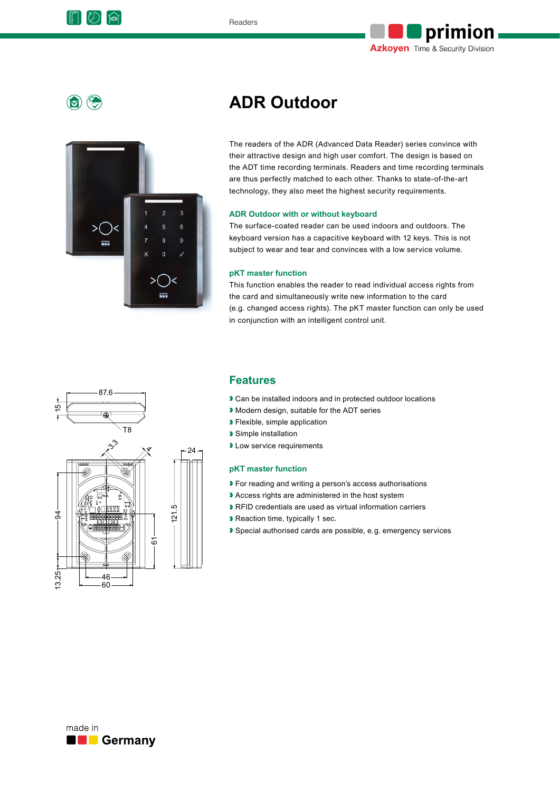



 $\circ$ 



# **ADR Outdoor**

The readers of the ADR (Advanced Data Reader) series convince with their attractive design and high user comfort. The design is based on the ADT time recording terminals. Readers and time recording terminals are thus perfectly matched to each other. Thanks to state-of-the-art technology, they also meet the highest security requirements.

### **ADR Outdoor with or without keyboard**

The surface-coated reader can be used indoors and outdoors. The keyboard version has a capacitive keyboard with 12 keys. This is not subject to wear and tear and convinces with a low service volume.

#### **pKT master function**

This function enables the reader to read individual access rights from the card and simultaneously write new information to the card (e.g. changed access rights). The pKT master function can only be used in conjunction with an intelligent control unit.



### **Features**

- Can be installed indoors and in protected outdoor locations
- ❱ Modern design, suitable for the ADT series
- ❱ Flexible, simple application
- ❱ Simple installation
- **I** Low service requirements

### **pKT master function**

- ▶ For reading and writing a person's access authorisations
- ❱ Access rights are administered in the host system
- ❱ RFID credentials are used as virtual information carriers
- ❱ Reaction time, typically 1 sec.
- ❱ Special authorised cards are possible, e.g. emergency services